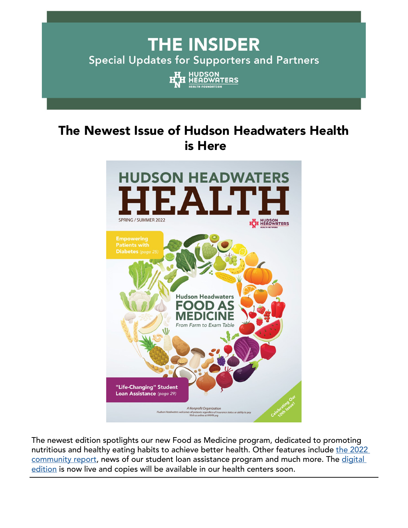# **THE INSIDER Special Updates for Supporters and Partners**



## The Newest Issue of Hudson Headwaters Health is Here



The newest edition spotlights our new Food as Medicine program, dedicated to promoting nutritious and healthy eating habits to achieve better health. Other features include the 2022 [community report,](https://mydigitalpublication.com/publication/?i=744830&bblinkid=260352038&bbemailid=39688454&bbejrid=-1955909622) news of our student loan assistance program and much more. The digital [edition](https://mydigitalpublication.com/publication/?m=52836&i=744618&p=1&bbejrid=-1955909622&bbemailid=39688454&bblinkid=260352037&ver=html5) is now live and copies will be available in our health centers soon.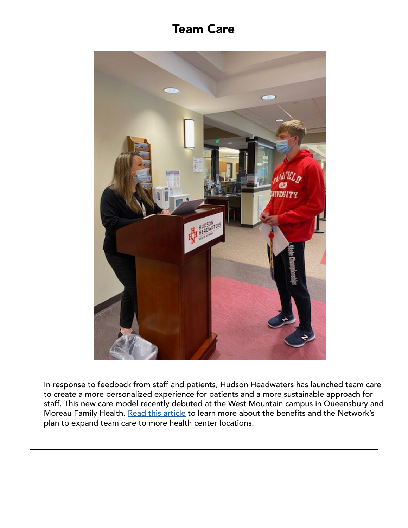### Team Care



In response to feedback from staff and patients, Hudson Headwaters has launched team care to create a more personalized experience for patients and a more sustainable approach for staff. This new care model recently debuted at the West Mountain campus in Queensbury and Moreau Family Health. [Read this article](https://www.news10.com/news/north-country/hudson-headwaters-patients-to-see-more-familiar-faces/?bblinkid=260008179&bbemailid=39688454&bbejrid=-1955909622) to learn more about the benefits and the Network's plan to expand team care to more health center locations.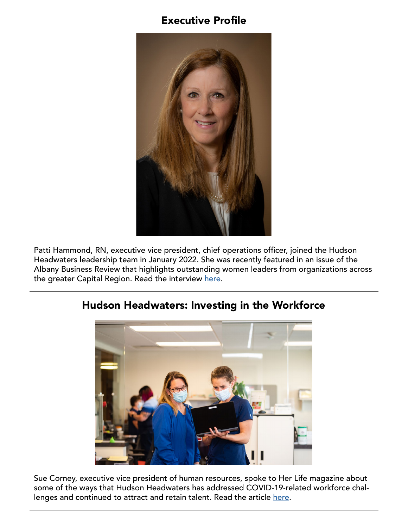#### Executive Profile



Patti Hammond, RN, executive vice president, chief operations officer, joined the Hudson Headwaters leadership team in January 2022. She was recently featured in an issue of the Albany Business Review that highlights outstanding women leaders from organizations across the greater Capital Region. Read the interview [here](https://www.hhhn.org/wp-content/uploads/2016/06/Patti-Hammond-Albany-Business-Review-Women-In-Feature-3.18.22.pdf?bblinkid=260007372&bbemailid=39688454&bbejrid=-1955909622).



#### Hudson Headwaters: Investing in the Workforce

Sue Corney, executive vice president of human resources, spoke to Her Life magazine about some of the ways that Hudson Headwaters has addressed COVID-19-related workforce challenges and continued to attract and retain talent. Read the article [here](https://www.hhhn.org/wp-content/uploads/2016/06/Sue-Corney-Her-Life-April-2022.pdf?bblinkid=260010525&bbemailid=39688454&bbejrid=-1955909622).